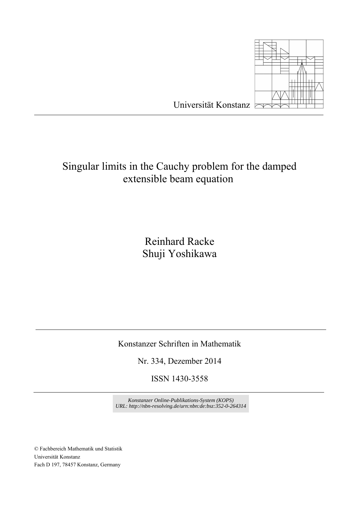

## Singular limits in the Cauchy problem for the damped extensible beam equation

Reinhard Racke Shuji Yoshikawa

Konstanzer Schriften in Mathematik

Nr. 334, Dezember 2014

ISSN 1430-3558

*Konstanzer Online-Publikations-System (KOPS) URL[: http://nbn-resolving.de/urn:nbn:de:bsz:352-0-264314](http://nbn-resolving.de/urn:nbn:de:bsz:352-0-264314)*

© Fachbereich Mathematik und Statistik Universität Konstanz Fach D 197, 78457 Konstanz, Germany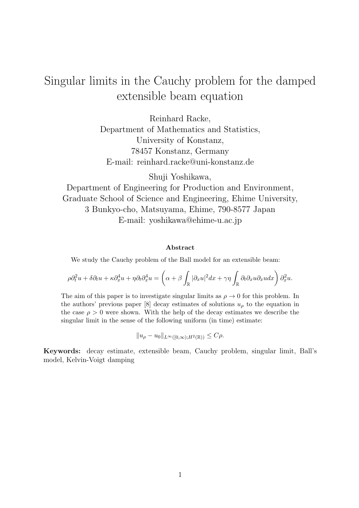# Singular limits in the Cauchy problem for the damped extensible beam equation

Reinhard Racke, Department of Mathematics and Statistics, University of Konstanz, 78457 Konstanz, Germany E-mail: reinhard.racke@uni-konstanz.de

Shuji Yoshikawa,

Department of Engineering for Production and Environment, Graduate School of Science and Engineering, Ehime University, 3 Bunkyo-cho, Matsuyama, Ehime, 790-8577 Japan E-mail: yoshikawa@ehime-u.ac.jp

#### **Abstract**

We study the Cauchy problem of the Ball model for an extensible beam:

$$
\rho\partial_t^2 u + \delta \partial_t u + \kappa \partial_x^4 u + \eta \partial_t \partial_x^4 u = \left(\alpha + \beta \int_{\mathbb{R}} |\partial_x u|^2 dx + \gamma \eta \int_{\mathbb{R}} \partial_t \partial_x u \partial_x u dx \right) \partial_x^2 u.
$$

The aim of this paper is to investigate singular limits as  $\rho \to 0$  for this problem. In the authors' previous paper [8] decay estimates of solutions  $u<sub>o</sub>$  to the equation in the case  $\rho > 0$  were shown. With the help of the decay estimates we describe the singular limit in the sense of the following uniform (in time) estimate:

$$
||u_{\rho}-u_0||_{L^{\infty}([0,\infty);H^2(\mathbb{R}))}\leq C\rho.
$$

**Keywords:** decay estimate, extensible beam, Cauchy problem, singular limit, Ball's model, Kelvin-Voigt damping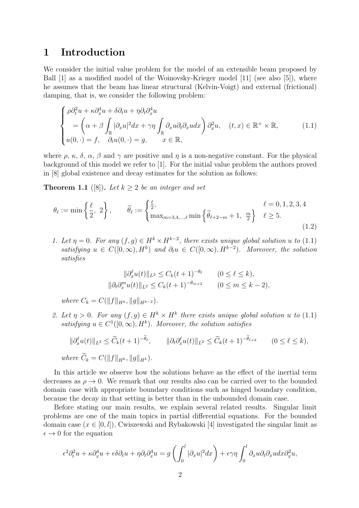#### **1 Introduction**

We consider the initial value problem for the model of an extensible beam proposed by Ball [1] as a modified model of the Woinovsky-Krieger model [11] (see also [5]), where he assumes that the beam has linear structural (Kelvin-Voigt) and external (frictional) damping, that is, we consider the following problem:

$$
\begin{cases}\n\rho \partial_t^2 u + \kappa \partial_x^4 u + \delta \partial_t u + \eta \partial_t \partial_x^4 u \\
= \left( \alpha + \beta \int_{\mathbb{R}} |\partial_x u|^2 dx + \gamma \eta \int_{\mathbb{R}} \partial_x u \partial_t \partial_x u dx \right) \partial_x^2 u, \quad (t, x) \in \mathbb{R}^+ \times \mathbb{R}, \\
u(0, \cdot) = f, \quad \partial_t u(0, \cdot) = g, \qquad x \in \mathbb{R},\n\end{cases} \tag{1.1}
$$

where  $\rho$ ,  $\kappa$ ,  $\delta$ ,  $\alpha$ ,  $\beta$  and  $\gamma$  are positive and  $\eta$  is a non-negative constant. For the physical background of this model we refer to [1]. For the initial value problem the authors proved in [8] global existence and decay estimates for the solution as follows:

**Theorem 1.1** ([8]). Let  $k \geq 2$  be an integer and set

$$
\theta_{\ell} := \min\left\{\frac{\ell}{2}, 2\right\}, \qquad \widetilde{\theta}_{\ell} := \begin{cases} \frac{\ell}{2}, & \ell = 0, 1, 2, 3, 4 \\ \max_{m=3, 4, \dots, \ell} \min\left\{\widetilde{\theta}_{\ell+2-m} + 1, \frac{m}{2}\right\} & \ell \ge 5. \end{cases}
$$
\n(1.2)

*1.* Let  $\eta = 0$ . For any  $(f, g) \in H^k \times H^{k-2}$ , there exists unique global solution  $u$  to  $(1.1)$ *satisfying*  $u \in C([0,\infty), H^k)$  *and*  $\partial_t u \in C([0,\infty), H^{k-2})$ *. Moreover, the solution satisfies*

$$
\|\partial_x^{\ell} u(t)\|_{L^2} \le C_k(t+1)^{-\theta_{\ell}} \qquad (0 \le \ell \le k),
$$
  

$$
\|\partial_t \partial_x^m u(t)\|_{L^2} \le C_k(t+1)^{-\theta_{m+2}} \qquad (0 \le m \le k-2),
$$

 $where C_k = C(||f||_{H^k}, ||g||_{H^{k-2}}).$ 

*2.* Let  $\eta > 0$ . For any  $(f, g) \in H^k \times H^k$  there exists unique global solution u to (1.1) *satisfying*  $u \in C^1([0,\infty), H^k)$ *. Moreover, the solution satisfies* 

$$
\|\partial_x^{\ell}u(t)\|_{L^2} \le \widetilde{C}_k(t+1)^{-\widetilde{\theta}_{\ell}}, \qquad \|\partial_t\partial_x^{\ell}u(t)\|_{L^2} \le \widetilde{C}_k(t+1)^{-\widetilde{\theta}_{\ell+2}} \qquad (0 \le \ell \le k),
$$
  
where  $\widetilde{C}_k = C(\|f\|_{H^k}, \|g\|_{H^k}).$ 

In this article we observe how the solutions behave as the effect of the inertial term decreases as  $\rho \rightarrow 0$ . We remark that our results also can be carried over to the bounded domain case with appropriate boundary conditions such as hinged boundary condition, because the decay in that setting is better than in the unbounded domain case.

Before stating our main results, we explain several related results. Singular limit problems are one of the main topics in partial differential equations. For the bounded domain case  $(x \in [0, l])$ , Cwiszewski and Rybakowski [4] investigated the singular limit as  $\epsilon \to 0$  for the equation

$$
\epsilon^2 \partial_t^2 u + \kappa \partial_x^4 u + \epsilon \delta \partial_t u + \eta \partial_t \partial_x^4 u = g \left( \int_0^l |\partial_x u|^2 dx \right) + \epsilon \gamma \eta \int_0^l \partial_x u \partial_t \partial_x u dx \partial_x^2 u,
$$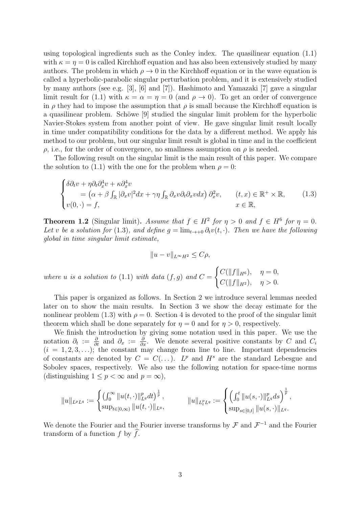using topological ingredients such as the Conley index. The quasilinear equation (1.1) with  $\kappa = \eta = 0$  is called Kirchhoff equation and has also been extensively studied by many authors. The problem in which  $\rho \to 0$  in the Kirchhoff equation or in the wave equation is called a hyperbolic-parabolic singular perturbation problem, and it is extensively studied by many authors (see e.g. [3], [6] and [7]). Hashimoto and Yamazaki [7] gave a singular limit result for (1.1) with  $\kappa = \alpha = \eta = 0$  (and  $\rho \to 0$ ). To get an order of convergence in  $\rho$  they had to impose the assumption that  $\rho$  is small because the Kirchhoff equation is a quasilinear problem. Schöwe [9] studied the singular limit problem for the hyperbolic Navier-Stokes system from another point of view. He gave singular limit result locally in time under compatibility conditions for the data by a different method. We apply his method to our problem, but our singular limit result is global in time and in the coefficient  $\rho$ , i.e., for the order of convergence, no smallness assumption on  $\rho$  is needed.

The following result on the singular limit is the main result of this paper. We compare the solution to (1.1) with the one for the problem when  $\rho = 0$ :

$$
\begin{cases}\n\delta \partial_t v + \eta \partial_t \partial_x^4 v + \kappa \partial_x^4 v \\
= (\alpha + \beta \int_{\mathbb{R}} |\partial_x v|^2 dx + \gamma \eta \int_{\mathbb{R}} \partial_x v \partial_t \partial_x v dx)\n\partial_x^2 v, \quad (t, x) \in \mathbb{R}^+ \times \mathbb{R}, \\
v(0, \cdot) = f,\n\end{cases}
$$
\n(1.3)

**Theorem 1.2** (Singular limit). *Assume that*  $f \in H^2$  *for*  $\eta > 0$  *and*  $f \in H^6$  *for*  $\eta = 0$ *. Let v be a solution for* (1.3)*, and define*  $g = \lim_{t \to +0} \partial_t v(t, \cdot)$ *. Then we have the following global in time singular limit estimate,*

$$
||u - v||_{L^{\infty}H^{2}} \leq C\rho,
$$
  
where  $u$  is a solution to (1.1) with data  $(f, g)$  and  $C = \begin{cases} C(||f||_{H^{6}}), & \eta = 0, \\ C(||f||_{H^{2}}), & \eta > 0. \end{cases}$ 

This paper is organized as follows. In Section 2 we introduce several lemmas needed later on to show the main results. In Section 3 we show the decay estimate for the nonlinear problem (1.3) with  $\rho = 0$ . Section 4 is devoted to the proof of the singular limit theorem which shall be done separately for  $\eta = 0$  and for  $\eta > 0$ , respectively.

We finish the introduction by giving some notation used in this paper. We use the notation  $\partial_t := \frac{\partial}{\partial t}$  and  $\partial_x := \frac{\partial}{\partial x}$ . We denote several positive constants by *C* and *C<sub>i</sub>*  $(i = 1, 2, 3, \ldots);$  the constant may change from line to line. Important dependencies of constants are denoted by  $C = C(\ldots)$ .  $L^p$  and  $H^s$  are the standard Lebesgue and Sobolev spaces, respectively. We also use the following notation for space-time norms (distinguishing  $1 \leq p < \infty$  and  $p = \infty$ ),

$$
||u||_{L^pL^q} := \begin{cases} \left(\int_0^\infty ||u(t,\cdot)||_{L^q}^p dt\right)^{\frac{1}{p}}, & ||u||_{L^p_tL^q} := \begin{cases} \left(\int_0^t ||u(s,\cdot)||_{L^q}^p ds\right)^{\frac{1}{p}}, \\ \sup_{s\in[0,t]} ||u(t,\cdot)||_{L^q}, \end{cases} \end{cases}
$$

We denote the Fourier and the Fourier inverse transforms by *F* and *F <sup>−</sup>*<sup>1</sup> and the Fourier transform of a function  $f$  by  $\widehat{f}$ .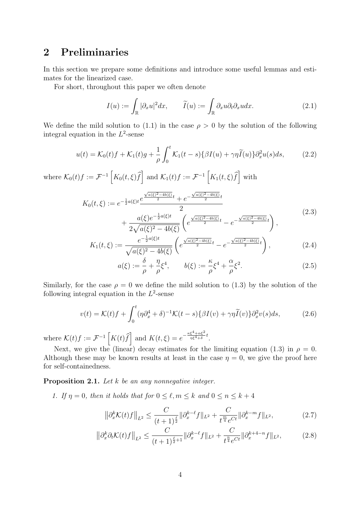### **2 Preliminaries**

In this section we prepare some definitions and introduce some useful lemmas and estimates for the linearized case.

For short, throughout this paper we often denote

$$
I(u) := \int_{\mathbb{R}} |\partial_x u|^2 dx, \qquad \widetilde{I}(u) := \int_{\mathbb{R}} \partial_x u \partial_t \partial_x u dx.
$$
 (2.1)

We define the mild solution to (1.1) in the case  $\rho > 0$  by the solution of the following integral equation in the *L* 2 -sense

$$
u(t) = \mathcal{K}_0(t)f + \mathcal{K}_1(t)g + \frac{1}{\rho} \int_0^t \mathcal{K}_1(t-s)\{\beta I(u) + \gamma \eta \widetilde{I}(u)\}\partial_x^2 u(s)ds,\tag{2.2}
$$

where  $\mathcal{K}_0(t)f := \mathcal{F}^{-1}\left[K_0(t,\xi)\hat{f}\right]$  and  $\mathcal{K}_1(t)f := \mathcal{F}^{-1}\left[K_1(t,\xi)\hat{f}\right]$  with

$$
K_0(t,\xi) := e^{-\frac{1}{2}a(\xi)t} \frac{e^{\frac{\sqrt{a(\xi)^2 - 4b(\xi)}}{2}t} + e^{-\frac{\sqrt{a(\xi)^2 - 4b(\xi)}}{2}t}}{2} + \frac{a(\xi)e^{-\frac{1}{2}a(\xi)t}}{2\sqrt{a(\xi)^2 - 4b(\xi)}} \left(e^{\frac{\sqrt{a(\xi)^2 - 4b(\xi)}}{2}t} - e^{-\frac{\sqrt{a(\xi)^2 - 4b(\xi)}}{2}t}\right),
$$
\n(2.3)

$$
K_1(t,\xi) := \frac{e^{-\frac{1}{2}a(\xi)t}}{\sqrt{a(\xi)^2 - 4b(\xi)}} \left( e^{\frac{\sqrt{a(\xi)^2 - 4b(\xi)}}{2}t} - e^{-\frac{\sqrt{a(\xi)^2 - 4b(\xi)}}{2}t} \right),\tag{2.4}
$$

$$
a(\xi) := \frac{\delta}{\rho} + \frac{\eta}{\rho} \xi^4, \qquad b(\xi) := \frac{\kappa}{\rho} \xi^4 + \frac{\alpha}{\rho} \xi^2. \tag{2.5}
$$

Similarly, for the case  $\rho = 0$  we define the mild solution to (1.3) by the solution of the following integral equation in the  $L^2$ -sense

$$
v(t) = \mathcal{K}(t)f + \int_0^t (\eta \partial_x^4 + \delta)^{-1} \mathcal{K}(t-s) \{ \beta I(v) + \gamma \eta \widetilde{I}(v) \} \partial_x^2 v(s) ds, \tag{2.6}
$$

where  $\mathcal{K}(t)f := \mathcal{F}^{-1}\left[K(t)\hat{f}\right]$  and  $K(t,\xi) = e^{-\frac{\kappa\xi^4 + \alpha\xi^2}{\eta\xi^4 + \delta}t}$ .

Next, we give the (linear) decay estimates for the limiting equation (1.3) in  $\rho = 0$ . Although these may be known results at least in the case  $\eta = 0$ , we give the proof here for self-containedness.

**Proposition 2.1.** *Let k be an any nonnegative integer.*

*1.* If  $\eta = 0$ , then it holds that for  $0 \leq \ell, m \leq k$  and  $0 \leq n \leq k+4$ 

$$
\left\|\partial_x^k \mathcal{K}(t)f\right\|_{L^2} \le \frac{C}{(t+1)^{\frac{\ell}{2}}} \|\partial_x^{k-\ell} f\|_{L^2} + \frac{C}{t^{\frac{m}{4}} e^{Ct}} \|\partial_x^{k-m} f\|_{L^2},\tag{2.7}
$$

$$
\left\|\partial_x^k \partial_t \mathcal{K}(t) f\right\|_{L^2} \le \frac{C}{(t+1)^{\frac{\ell}{2}+1}} \|\partial_x^{k-\ell} f\|_{L^2} + \frac{C}{t^{\frac{n}{4}} e^{Ct}} \|\partial_x^{k+4-n} f\|_{L^2},\tag{2.8}
$$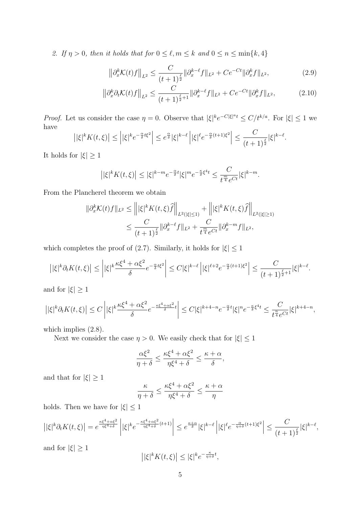*2.* If  $\eta > 0$ , then it holds that for  $0 \leq \ell, m \leq k$  and  $0 \leq n \leq \min\{k, 4\}$ 

$$
\left\|\partial_x^k \mathcal{K}(t)f\right\|_{L^2} \le \frac{C}{(t+1)^{\frac{\ell}{2}}} \|\partial_x^{k-\ell} f\|_{L^2} + Ce^{-Ct} \|\partial_x^k f\|_{L^2},\tag{2.9}
$$

$$
\left\|\partial_x^k \partial_t \mathcal{K}(t)f\right\|_{L^2} \le \frac{C}{(t+1)^{\frac{\ell}{2}+1}} \|\partial_x^{k-\ell} f\|_{L^2} + Ce^{-Ct} \|\partial_x^k f\|_{L^2},\tag{2.10}
$$

*Proof.* Let us consider the case  $\eta = 0$ . Observe that  $|\xi|^k e^{-C|\xi|^a t} \leq C/t^{k/a}$ . For  $|\xi| \leq 1$  we have

$$
\left||\xi|^k K(t,\xi)\right|\leq \left||\xi|^k e^{-\frac{\alpha}{\delta}t\xi^2}\right|\leq e^{\frac{\alpha}{\delta}}|\xi|^{k-\ell}\left||\xi|^{\ell} e^{-\frac{\alpha}{\delta}(t+1)\xi^2}\right|\leq \frac{C}{(t+1)^{\frac{\ell}{2}}}|\xi|^{k-\ell}.
$$

It holds for  $|\xi| \geq 1$ 

$$
\left| |\xi|^k K(t,\xi) \right| \leq |\xi|^{k-m} e^{-\frac{\alpha}{\delta}t} |\xi|^m e^{-\frac{\kappa}{\delta} \xi^4 t} \leq \frac{C}{t^{\frac{m}{4}} e^{Ct}} |\xi|^{k-m}.
$$

From the Plancherel theorem we obtain

$$
\begin{aligned} \|\partial_x^k \mathcal{K}(t)f\|_{L^2} &\le \left\| |\xi|^k K(t,\xi) \widehat{f} \right\|_{L^2(|\xi| \le 1)} + \left\| |\xi|^k K(t,\xi) \widehat{f} \right\|_{L^2(|\xi| \ge 1)} \\ &\le \frac{C}{(t+1)^{\frac{\ell}{2}}} \|\partial_x^{k-\ell} f\|_{L^2} + \frac{C}{t^{\frac{m}{4}} e^{Ct}} \|\partial_x^{k-m} f\|_{L^2}, \end{aligned}
$$

which completes the proof of (2.7). Similarly, it holds for  $|\xi| \leq 1$ 

$$
\left||\xi|^k\partial_t K(t,\xi)\right|\leq \left||\xi|^k\frac{\kappa\xi^4+\alpha\xi^2}{\delta}e^{-\frac{\alpha}{\delta}t\xi^2}\right|\leq C|\xi|^{k-\ell}\left||\xi|^{\ell+2}e^{-\frac{\alpha}{\delta}(t+1)\xi^2}\right|\leq \frac{C}{(t+1)^{\frac{\ell}{2}+1}}|\xi|^{k-\ell}.
$$

and for  $|\xi| \geq 1$ 

$$
\left| |\xi|^k \partial_t K(t,\xi) \right| \leq C \left| |\xi|^k \frac{\kappa \xi^4 + \alpha \xi^2}{\delta} e^{-\frac{\kappa \xi^4 + \alpha \xi^2}{\delta} t} \right| \leq C |\xi|^{k+4-n} e^{-\frac{\alpha}{\delta} t} |\xi|^n e^{-\frac{\kappa}{\delta} \xi^4 t} \leq \frac{C}{t^{\frac{n}{4}} e^{Ct}} |\xi|^{k+4-n},
$$

which implies  $(2.8)$ .

Next we consider the case  $\eta > 0$ . We easily check that for  $|\xi| \leq 1$ 

$$
\frac{\alpha \xi^2}{\eta+\delta} \le \frac{\kappa \xi^4 + \alpha \xi^2}{\eta \xi^4 + \delta} \le \frac{\kappa + \alpha}{\delta},
$$

and that for  $|\xi| \geq 1$ 

$$
\frac{\kappa}{\eta+\delta} \le \frac{\kappa \xi^4 + \alpha \xi^2}{\eta \xi^4 + \delta} \le \frac{\kappa + \alpha}{\eta}
$$

holds. Then we have for  $|\xi| \leq 1$ 

$$
\left| |\xi|^k \partial_t K(t,\xi) \right| = e^{\frac{\kappa \xi^4 + \alpha \xi^2}{\eta \xi^4 + \delta}} \left| |\xi|^k e^{-\frac{\kappa \xi^4 + \alpha \xi^2}{\eta \xi^4 + \delta}(t+1)} \right| \leq e^{\frac{\kappa + \alpha}{\delta}} |\xi|^{k-\ell} \left| |\xi|^{\ell} e^{-\frac{\alpha}{\eta + \delta}(t+1)\xi^2} \right| \leq \frac{C}{(t+1)^{\frac{\ell}{2}}} |\xi|^{k-\ell},
$$
 and for  $|\xi| \geq 1$ 

$$
\left| |\xi|^k K(t,\xi) \right| \leq |\xi|^k e^{-\frac{\kappa}{\eta+\delta}t},
$$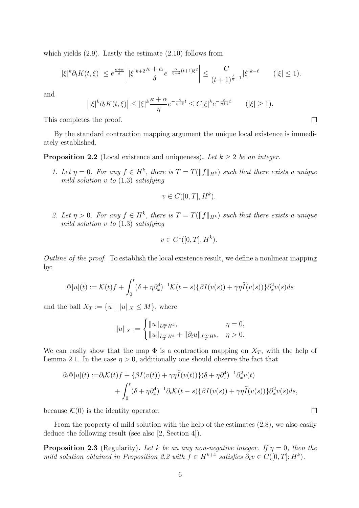which yields (2.9). Lastly the estimate (2.10) follows from

$$
\left| |\xi|^k \partial_t K(t,\xi) \right| \le e^{\frac{\kappa+\alpha}{\delta}} \left| |\xi|^{k+2} \frac{\kappa+\alpha}{\delta} e^{-\frac{\alpha}{\eta+\delta}(t+1)\xi^2} \right| \le \frac{C}{(t+1)^{\frac{\ell}{2}+1}} |\xi|^{k-\ell} \qquad (|\xi| \le 1).
$$

and

$$
\left| |\xi|^k \partial_t K(t,\xi) \right| \leq |\xi|^k \frac{\kappa + \alpha}{\eta} e^{-\frac{\kappa}{\eta + \delta} t} \leq C |\xi|^k e^{-\frac{\kappa}{\eta + \delta} t} \qquad (|\xi| \geq 1).
$$

This completes the proof.

By the standard contraction mapping argument the unique local existence is immediately established.

**Proposition 2.2** (Local existence and uniqueness). Let  $k \geq 2$  be an integer.

*1. Let*  $\eta = 0$ *. For any*  $f \in H^k$ , there is  $T = T(||f||_{H^k})$  such that there exists a unique *mild solution v to* (1.3) *satisfying*

$$
v \in C([0, T], H^k).
$$

*2. Let*  $\eta > 0$ *. For any*  $f \in H^k$ , there is  $T = T(||f||_{H^k})$  such that there exists a unique *mild solution v to* (1.3) *satisfying*

$$
v \in C^1([0,T], H^k).
$$

*Outline of the proof.* To establish the local existence result, we define a nonlinear mapping by:

$$
\Phi[u](t) := \mathcal{K}(t)f + \int_0^t (\delta + \eta \partial_x^4)^{-1} \mathcal{K}(t-s) \{ \beta I(v(s)) + \gamma \eta \widetilde{I}(v(s)) \} \partial_x^2 v(s) ds
$$

and the ball  $X_T := \{u \mid ||u||_X \leq M\}$ , where

$$
\|u\|_X:=\begin{cases}\|u\|_{L^\infty_TH^k},&\eta=0,\\ \|u\|_{L^\infty_TH^k}+\|\partial_tu\|_{L^\infty_TH^k},&\eta>0.\end{cases}
$$

We can easily show that the map  $\Phi$  is a contraction mapping on  $X_T$ , with the help of Lemma 2.1. In the case  $\eta > 0$ , additionally one should observe the fact that

$$
\partial_t \Phi[u](t) := \partial_t \mathcal{K}(t) f + \{\beta I(v(t)) + \gamma \eta \widetilde{I}(v(t))\} (\delta + \eta \partial_x^4)^{-1} \partial_x^2 v(t) + \int_0^t (\delta + \eta \partial_x^4)^{-1} \partial_t \mathcal{K}(t - s) \{\beta I(v(s)) + \gamma \eta \widetilde{I}(v(s))\} \partial_x^2 v(s) ds,
$$

because  $\mathcal{K}(0)$  is the identity operator.

From the property of mild solution with the help of the estimates (2.8), we also easily deduce the following result (see also [2, Section 4]).

**Proposition 2.3** (Regularity). Let *k* be an any non-negative integer. If  $\eta = 0$ , then the *mild solution obtained in Proposition 2.2 with*  $f \in H^{k+4}$  *satisfies*  $\partial_t v \in C([0, T]; H^k)$ *.* 

```
\Box
```
 $\Box$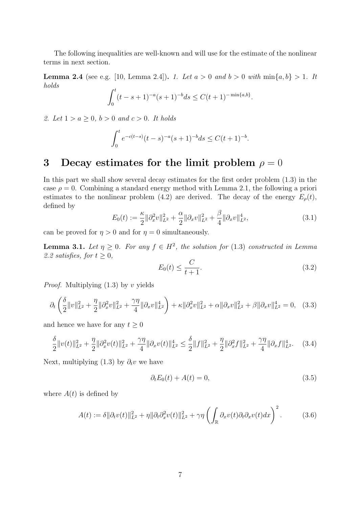The following inequalities are well-known and will use for the estimate of the nonlinear terms in next section.

**Lemma 2.4** (see e.g. [10, Lemma 2.4]). *1. Let*  $a > 0$  *and*  $b > 0$  *with*  $\min\{a, b\} > 1$ *. It holds*

$$
\int_0^t (t-s+1)^{-a}(s+1)^{-b}ds \le C(t+1)^{-\min\{a,b\}}.
$$

*2. Let*  $1 > a \geq 0, b > 0$  *and*  $c > 0$ *. It holds* 

$$
\int_0^t e^{-c(t-s)}(t-s)^{-a}(s+1)^{-b}ds \le C(t+1)^{-b}.
$$

### **3** Decay estimates for the limit problem  $\rho = 0$

In this part we shall show several decay estimates for the first order problem (1.3) in the case  $\rho = 0$ . Combining a standard energy method with Lemma 2.1, the following a priori estimates to the nonlinear problem (4.2) are derived. The decay of the energy  $E_{\rho}(t)$ , defined by

$$
E_0(t) := \frac{\kappa}{2} \|\partial_x^2 v\|_{L^2}^2 + \frac{\alpha}{2} \|\partial_x v\|_{L^2}^2 + \frac{\beta}{4} \|\partial_x v\|_{L^2}^4,\tag{3.1}
$$

can be proved for  $\eta > 0$  and for  $\eta = 0$  simultaneously.

**Lemma 3.1.** *Let*  $\eta \geq 0$ . For any  $f \in H^2$ , the solution for (1.3) constructed in Lemma 2.2 *satisfies, for*  $t \geq 0$ *,* 

$$
E_0(t) \le \frac{C}{t+1}.\tag{3.2}
$$

*Proof.* Multiplying (1.3) by *v* yields

$$
\partial_t \left( \frac{\delta}{2} ||v||_{L^2}^2 + \frac{\eta}{2} ||\partial_x^2 v||_{L^2}^2 + \frac{\gamma \eta}{4} ||\partial_x v||_{L^2}^4 \right) + \kappa ||\partial_x^2 v||_{L^2}^2 + \alpha ||\partial_x v||_{L^2}^2 + \beta ||\partial_x v||_{L^2}^4 = 0, \quad (3.3)
$$

and hence we have for any  $t \geq 0$ 

$$
\frac{\delta}{2}||v(t)||_{L^{2}}^{2} + \frac{\eta}{2}||\partial_{x}^{2}v(t)||_{L^{2}}^{2} + \frac{\gamma\eta}{4}||\partial_{x}v(t)||_{L^{2}}^{4} \le \frac{\delta}{2}||f||_{L^{2}}^{2} + \frac{\eta}{2}||\partial_{x}^{2}f||_{L^{2}}^{2} + \frac{\gamma\eta}{4}||\partial_{x}f||_{L^{2}}^{4}.
$$
 (3.4)

Next, multiplying (1.3) by  $\partial_t v$  we have

$$
\partial_t E_0(t) + A(t) = 0,\t\t(3.5)
$$

where  $A(t)$  is defined by

$$
A(t) := \delta \|\partial_t v(t)\|_{L^2}^2 + \eta \|\partial_t \partial_x^2 v(t)\|_{L^2}^2 + \gamma \eta \left(\int_{\mathbb{R}} \partial_x v(t) \partial_t \partial_x v(t) dx\right)^2. \tag{3.6}
$$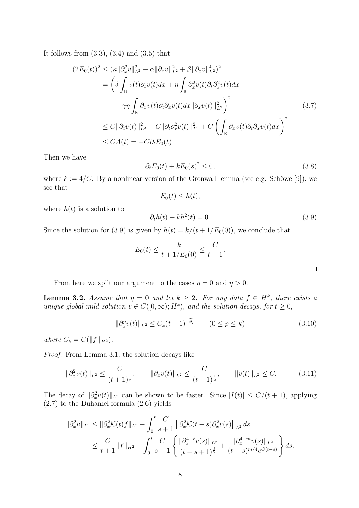It follows from  $(3.3)$ ,  $(3.4)$  and  $(3.5)$  that

$$
(2E_0(t))^2 \leq (\kappa ||\partial_x^2 v||_{L^2}^2 + \alpha ||\partial_x v||_{L^2}^2 + \beta ||\partial_x v||_{L^2}^4)^2
$$
  
\n
$$
= \left(\delta \int_{\mathbb{R}} v(t)\partial_t v(t)dx + \eta \int_{\mathbb{R}} \partial_x^2 v(t)\partial_t \partial_x^2 v(t)dx + \gamma \int_{\mathbb{R}} \partial_x v(t)\partial_t \partial_x v(t)dx||\partial_x v(t)||_{L^2}^2\right)^2
$$
  
\n
$$
\leq C ||\partial_t v(t)||_{L^2}^2 + C ||\partial_t \partial_x^2 v(t)||_{L^2}^2 + C \left(\int_{\mathbb{R}} \partial_x v(t)\partial_t \partial_x v(t)dx\right)^2
$$
  
\n
$$
\leq CA(t) = -C\partial_t E_0(t)
$$
  
\n(3.7)

Then we have

$$
\partial_t E_0(t) + k E_0(s)^2 \le 0,\t\t(3.8)
$$

where  $k := 4/C$ . By a nonlinear version of the Gronwall lemma (see e.g. Schöwe [9]), we see that

$$
E_0(t) \leq h(t),
$$

where  $h(t)$  is a solution to

$$
\partial_t h(t) + kh^2(t) = 0. \tag{3.9}
$$

Since the solution for (3.9) is given by  $h(t) = k/(t + 1/E_0(0))$ , we conclude that

$$
E_0(t) \le \frac{k}{t + 1/E_0(0)} \le \frac{C}{t + 1}.
$$

From here we split our argument to the cases  $\eta = 0$  and  $\eta > 0$ .

**Lemma 3.2.** *Assume that*  $\eta = 0$  *and let*  $k \geq 2$ *. For any data*  $f \in H^k$ *, there exists a unique global mild solution*  $v \in C([0,\infty); H^k)$ *, and the solution decays, for*  $t \geq 0$ *,* 

$$
\|\partial_x^p v(t)\|_{L^2} \le C_k(t+1)^{-\theta_p} \qquad (0 \le p \le k)
$$
\n(3.10)

*where*  $C_k = C(||f||_{H^k})$ *.* 

*Proof.* From Lemma 3.1, the solution decays like

$$
\|\partial_x^2 v(t)\|_{L^2} \le \frac{C}{(t+1)^{\frac{1}{2}}}, \qquad \|\partial_x v(t)\|_{L^2} \le \frac{C}{(t+1)^{\frac{1}{2}}}, \qquad \|v(t)\|_{L^2} \le C. \tag{3.11}
$$

The decay of  $\|\partial_x^2 v(t)\|_{L^2}$  can be shown to be faster. Since  $|I(t)| \le C/(t+1)$ , applying (2.7) to the Duhamel formula (2.6) yields

$$
\begin{split} \|\partial_x^2 v\|_{L^2} &\leq \|\partial_x^2 \mathcal{K}(t)f\|_{L^2} + \int_0^t \frac{C}{s+1} \left\|\partial_x^2 \mathcal{K}(t-s)\partial_x^2 v(s)\right\|_{L^2} ds \\ &\leq \frac{C}{t+1} \|f\|_{H^2} + \int_0^t \frac{C}{s+1} \left\{\frac{\|\partial_x^{4-\ell} v(s)\|_{L^2}}{(t-s+1)^{\frac{\ell}{2}}} + \frac{\|\partial_x^{4-m} v(s)\|_{L^2}}{(t-s)^{m/4} e^{C(t-s)}}\right\} ds. \end{split}
$$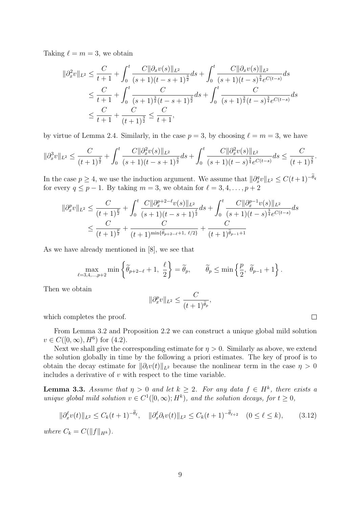Taking  $\ell = m = 3$ , we obtain

$$
\begin{split} \|\partial_x^2 v\|_{L^2} &\leq \frac{C}{t+1} + \int_0^t \frac{C\|\partial_x v(s)\|_{L^2}}{(s+1)(t-s+1)^{\frac{3}{2}}} ds + \int_0^t \frac{C\|\partial_x v(s)\|_{L^2}}{(s+1)(t-s)^{\frac{3}{4}}e^{C(t-s)}} ds \\ &\leq \frac{C}{t+1} + \int_0^t \frac{C}{(s+1)^{\frac{3}{2}}(t-s+1)^{\frac{3}{2}}} ds + \int_0^t \frac{C}{(s+1)^{\frac{3}{2}}(t-s)^{\frac{3}{4}}e^{C(t-s)}} ds \\ &\leq \frac{C}{t+1} + \frac{C}{(t+1)^{\frac{3}{2}}} \leq \frac{C}{t+1}, \end{split}
$$

by virtue of Lemma 2.4. Similarly, in the case  $p = 3$ , by choosing  $\ell = m = 3$ , we have

$$
\|\partial_x^3 v\|_{L^2} \le \frac{C}{(t+1)^{\frac{3}{2}}} + \int_0^t \frac{C\|\partial_x^2 v(s)\|_{L^2}}{(s+1)(t-s+1)^{\frac{3}{2}}} ds + \int_0^t \frac{C\|\partial_x^2 v(s)\|_{L^2}}{(s+1)(t-s)^{\frac{3}{4}}e^{C(t-s)}} ds \le \frac{C}{(t+1)^{\frac{3}{2}}}.
$$

In the case  $p \geq 4$ , we use the induction argument. We assume that  $||\partial_x^q v||_{L^2} \leq C(t+1)^{-\theta_q}$ for every  $q \leq p-1$ . By taking  $m=3$ , we obtain for  $\ell=3,4,\ldots,p+2$ 

$$
\|\partial_x^p v\|_{L^2} \le \frac{C}{(t+1)^{\frac{p}{2}}} + \int_0^t \frac{C\|\partial_x^{p+2-\ell}v(s)\|_{L^2}}{(s+1)(t-s+1)^{\frac{\ell}{2}}} ds + \int_0^t \frac{C\|\partial_x^{p-1}v(s)\|_{L^2}}{(s+1)(t-s)^{\frac{3}{4}}e^{C(t-s)}} ds
$$
  

$$
\le \frac{C}{(t+1)^{\frac{p}{2}}} + \frac{C}{(t+1)^{\min{\{\widetilde{\theta}_{p+2-\ell}+1, \ell/2\}}} + \frac{C}{(t+1)^{\widetilde{\theta}_{p-1}+1}}
$$

As we have already mentioned in [8], we see that

$$
\max_{\ell=3,4,\ldots,p+2} \min\left\{\widetilde{\theta}_{p+2-\ell}+1,\ \frac{\ell}{2}\right\} = \widetilde{\theta}_p, \qquad \widetilde{\theta}_p \le \min\left\{\frac{p}{2},\ \widetilde{\theta}_{p-1}+1\right\}.
$$

Then we obtain

$$
\|\partial_x^p v\|_{L^2} \le \frac{C}{(t+1)^{\widetilde{\theta}_p}},
$$

which completes the proof.

From Lemma 3.2 and Proposition 2.2 we can construct a unique global mild solution  $v \in C([0,\infty), H^6)$  for  $(4.2)$ .

Next we shall give the corresponding estimate for  $\eta > 0$ . Similarly as above, we extend the solution globally in time by the following a priori estimates. The key of proof is to obtain the decay estimate for  $\|\partial_t v(t)\|_{L^2}$  because the nonlinear term in the case  $\eta > 0$ includes a derivative of *v* with respect to the time variable.

**Lemma 3.3.** *Assume that*  $\eta > 0$  *and let*  $k \geq 2$ *. For any data*  $f \in H^k$ *, there exists a unique global mild solution*  $v \in C^1([0,\infty); H^k)$ *, and the solution decays, for*  $t \geq 0$ *,* 

$$
\|\partial_x^{\ell} v(t)\|_{L^2} \le C_k(t+1)^{-\tilde{\theta}_{\ell}}, \quad \|\partial_x^{\ell} \partial_t v(t)\|_{L^2} \le C_k(t+1)^{-\tilde{\theta}_{\ell+2}} \quad (0 \le \ell \le k), \tag{3.12}
$$

*where*  $C_k = C(||f||_{H^k})$ .

 $\Box$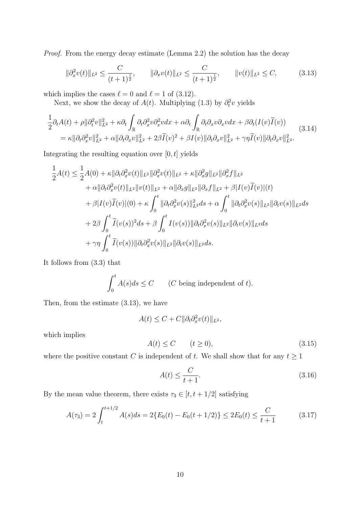*Proof.* From the energy decay estimate (Lemma 2.2) the solution has the decay

$$
\|\partial_x^2 v(t)\|_{L^2} \le \frac{C}{(t+1)^{\frac{1}{2}}}, \qquad \|\partial_x v(t)\|_{L^2} \le \frac{C}{(t+1)^{\frac{1}{2}}}, \qquad \|v(t)\|_{L^2} \le C,\tag{3.13}
$$

which implies the cases  $\ell = 0$  and  $\ell = 1$  of (3.12).

Next, we show the decay of  $A(t)$ . Multiplying (1.3) by  $\partial_t^2 v$  yields

$$
\frac{1}{2}\partial_t A(t) + \rho \|\partial_t^2 v\|_{L^2}^2 + \kappa \partial_t \int_{\mathbb{R}} \partial_t \partial_x^2 v \partial_x^2 v dx + \alpha \partial_t \int_{\mathbb{R}} \partial_t \partial_x v \partial_x v dx + \beta \partial_t (I(v)\widetilde{I}(v)) \n= \kappa \|\partial_t \partial_x^2 v\|_{L^2}^2 + \alpha \|\partial_t \partial_x v\|_{L^2}^2 + 2\beta \widetilde{I}(v)^2 + \beta I(v)\|\partial_t \partial_x v\|_{L^2}^2 + \gamma \eta \widetilde{I}(v) \|\partial_t \partial_x v\|_{L^2}^2.
$$
\n(3.14)

Integrating the resulting equation over [0*, t*] yields

$$
\frac{1}{2}A(t) \leq \frac{1}{2}A(0) + \kappa \|\partial_t \partial_x^2 v(t)\|_{L^2} \|\partial_x^2 v(t)\|_{L^2} + \kappa \|\partial_x^2 g\|_{L^2} \|\partial_x^2 f\|_{L^2} \n+ \alpha \|\partial_t \partial_x^2 v(t)\|_{L^2} \|v(t)\|_{L^2} + \alpha \|\partial_x g\|_{L^2} \|\partial_x f\|_{L^2} + \beta |I(v)\tilde{I}(v)|(t) \n+ \beta |I(v)\tilde{I}(v)|(0) + \kappa \int_0^t \|\partial_t \partial_x^2 v(s)\|_{L^2}^2 ds + \alpha \int_0^t \|\partial_t \partial_x^2 v(s)\|_{L^2} \|\partial_t v(s)\|_{L^2} ds \n+ 2\beta \int_0^t \tilde{I}(v(s))^2 ds + \beta \int_0^t I(v(s)) \|\partial_t \partial_x^2 v(s)\|_{L^2} \|\partial_t v(s)\|_{L^2} ds \n+ \gamma \eta \int_0^t \tilde{I}(v(s)) \|\partial_t \partial_x^2 v(s)\|_{L^2} \|\partial_t v(s)\|_{L^2} ds.
$$

It follows from (3.3) that

$$
\int_0^t A(s)ds \le C \qquad (C \text{ being independent of } t).
$$

Then, from the estimate (3.13), we have

$$
A(t) \leq C + C ||\partial_t \partial_x^2 v(t)||_{L^2},
$$

which implies

$$
A(t) \le C \qquad (t \ge 0), \tag{3.15}
$$

where the positive constant *C* is independent of *t*. We shall show that for any  $t \geq 1$ 

$$
A(t) \le \frac{C}{t+1}.\tag{3.16}
$$

By the mean value theorem, there exists  $\tau_3 \in [t, t+1/2]$  satisfying

$$
A(\tau_3) = 2 \int_t^{t+1/2} A(s)ds = 2\{E_0(t) - E_0(t+1/2)\} \le 2E_0(t) \le \frac{C}{t+1}
$$
 (3.17)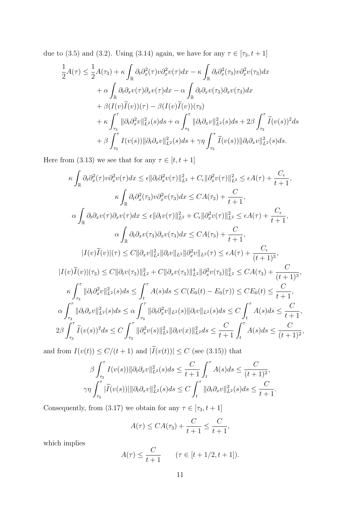due to (3.5) and (3.2). Using (3.14) again, we have for any  $\tau \in [\tau_3, t+1]$ 

$$
\frac{1}{2}A(\tau) \leq \frac{1}{2}A(\tau_3) + \kappa \int_{\mathbb{R}} \partial_t \partial_x^2(\tau) \nu \partial_x^2 \nu(\tau) dx - \kappa \int_{\mathbb{R}} \partial_t \partial_x^2(\tau_3) \nu \partial_x^2 \nu(\tau_3) dx \n+ \alpha \int_{\mathbb{R}} \partial_t \partial_x \nu(\tau) \partial_x \nu(\tau) dx - \alpha \int_{\mathbb{R}} \partial_t \partial_x \nu(\tau_3) \partial_x \nu(\tau_3) dx \n+ \beta (I(\nu) \widetilde{I}(\nu))(\tau) - \beta (I(\nu) \widetilde{I}(\nu))(\tau_3) \n+ \kappa \int_{\tau_3}^{\tau} ||\partial_t \partial_x^2 \nu||_{L^2}^2(s) ds + \alpha \int_{\tau_3}^{\tau} ||\partial_t \partial_x \nu||_{L^2}^2(s) ds + 2\beta \int_{\tau_3}^{\tau} \widetilde{I}(\nu(s))^2 ds \n+ \beta \int_{\tau_3}^{\tau} I(\nu(s)) ||\partial_t \partial_x \nu||_{L^2}^2(s) ds + \gamma \eta \int_{\tau_3}^{\tau} \widetilde{I}(\nu(s)) ||\partial_t \partial_x \nu||_{L^2}^2(s) ds.
$$

Here from (3.13) we see that for any  $\tau \in [t,t+1]$ 

$$
\kappa \int_{\mathbb{R}} \partial_t \partial_x^2(\tau) v \partial_x^2 v(\tau) dx \leq \epsilon \|\partial_t \partial_x^2 v(\tau)\|_{L^2}^2 + C_{\epsilon} \|\partial_x^2 v(\tau)\|_{L^2}^2 \leq \epsilon A(\tau) + \frac{C_{\epsilon}}{t+1},
$$
  
\n
$$
\kappa \int_{\mathbb{R}} \partial_t \partial_x^2(\tau_3) v \partial_x^2 v(\tau_3) dx \leq CA(\tau_3) + \frac{C}{t+1},
$$
  
\n
$$
\alpha \int_{\mathbb{R}} \partial_t \partial_x v(\tau) \partial_x v(\tau) dx \leq \epsilon \|\partial_t v(\tau)\|_{L^2}^2 + C_{\epsilon} \|\partial_x^2 v(\tau)\|_{L^2}^2 \leq \epsilon A(\tau) + \frac{C_{\epsilon}}{t+1},
$$
  
\n
$$
\alpha \int_{\mathbb{R}} \partial_t \partial_x v(\tau_3) \partial_x v(\tau_3) dx \leq CA(\tau_3) + \frac{C}{t+1},
$$
  
\n
$$
|I(v)\widetilde{I}(v)|(\tau) \leq C \|\partial_x v\|_{L^2}^2 \|\partial_t v\|_{L^2} \|\partial_x^2 v\|_{L^2} (\tau) \leq \epsilon A(\tau) + \frac{C_{\epsilon}}{(t+1)^3},
$$
  
\n
$$
|I(v)\widetilde{I}(v)|(\tau_3) \leq C \|\partial_t v(\tau_3)\|_{L^2}^2 + C \|\partial_x v(\tau_3)\|_{L^2}^4 \|\partial_x^2 v(\tau_3)\|_{L^2}^2 \leq CA(\tau_3) + \frac{C}{(t+1)^3},
$$
  
\n
$$
\kappa \int_{\tau_3}^{\tau} \|\partial_t \partial_x^2 v\|_{L^2}^2(s) ds \leq \int_{t}^{\tau} A(s) ds \leq C(E_0(t) - E_0(\tau)) \leq CE_0(t) \leq \frac{C}{t+1},
$$
  
\n
$$
\alpha \int_{\tau_3}^{\tau} \|\partial_t \partial_x v\|_{L^2}^2(s) ds \leq \alpha \int_{\tau_3}^{\tau} \|\partial_t \partial_x^2 v\|_{L^2} (s) \|\partial_t v\|_{L^2} (s) ds \leq C
$$

and from  $I(v(t)) \le C/(t+1)$  and  $|I(v(t))| \le C$  (see (3.15)) that

$$
\beta \int_{\tau_3}^{\tau} I(v(s)) \|\partial_t \partial_x v\|_{L^2}^2(s) ds \leq \frac{C}{t+1} \int_t^{\tau} A(s) ds \leq \frac{C}{(t+1)^2},
$$
  

$$
\gamma \eta \int_{\tau_3}^{\tau} |\widetilde{I}(v(s))| \|\partial_t \partial_x v\|_{L^2}^2(s) ds \leq C \int_t^{\tau} \|\partial_t \partial_x v\|_{L^2}^2(s) ds \leq \frac{C}{t+1}.
$$

Consequently, from (3.17) we obtain for any  $\tau \in [\tau_3, t+1]$ 

$$
A(\tau) \leq CA(\tau_3) + \frac{C}{t+1} \leq \frac{C}{t+1},
$$

which implies

$$
A(\tau) \le \frac{C}{t+1}
$$
  $(\tau \in [t+1/2, t+1]).$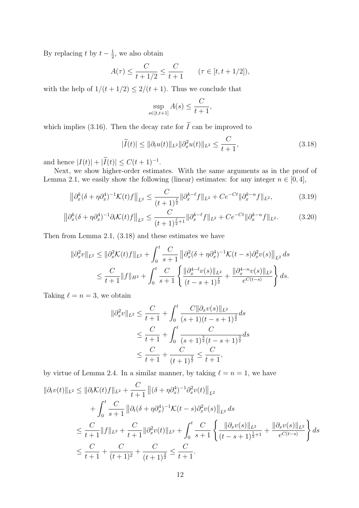By replacing *t* by  $t - \frac{1}{2}$  $\frac{1}{2}$ , we also obtain

$$
A(\tau) \le \frac{C}{t+1/2} \le \frac{C}{t+1}
$$
  $(\tau \in [t, t+1/2]),$ 

with the help of  $1/(t + 1/2) \leq 2/(t + 1)$ . Thus we conclude that

$$
\sup_{s \in [t,t+1]} A(s) \le \frac{C}{t+1},
$$

which implies (3.16). Then the decay rate for  $\widetilde{I}$  can be improved to

$$
|\widetilde{I}(t)| \le ||\partial_t u(t)||_{L^2} ||\partial_x^2 u(t)||_{L^2} \le \frac{C}{t+1},
$$
\n(3.18)

and hence  $|I(t)| + |I(t)| \leq C(t+1)^{-1}$ .

Next, we show higher-order estimates. With the same arguments as in the proof of Lemma 2.1, we easily show the following (linear) estimates: for any integer  $n \in [0, 4]$ ,

$$
\left\|\partial_x^k(\delta + \eta \partial_x^4)^{-1} \mathcal{K}(t) f\right\|_{L^2} \le \frac{C}{(t+1)^{\frac{\ell}{2}}} \|\partial_x^{k-\ell} f\|_{L^2} + Ce^{-Ct} \|\partial_x^{k-n} f\|_{L^2},\tag{3.19}
$$

$$
\left\|\partial_x^k(\delta+\eta\partial_x^4)^{-1}\partial_t\mathcal{K}(t)f\right\|_{L^2}\leq\frac{C}{(t+1)^{\frac{\ell}{2}+1}}\|\partial_x^{k-\ell}f\|_{L^2}+Ce^{-Ct}\|\partial_x^{k-n}f\|_{L^2}.\tag{3.20}
$$

Then from Lemma 2.1, (3.18) and these estimates we have

$$
\begin{aligned} \|\partial_x^2 v\|_{L^2} &\leq \|\partial_x^2 \mathcal{K}(t)f\|_{L^2} + \int_0^t \frac{C}{s+1} \left\|\partial_x^2 (\delta + \eta \partial_x^4)^{-1} \mathcal{K}(t-s) \partial_x^2 v(s) \right\|_{L^2} ds \\ &\leq \frac{C}{t+1} \|f\|_{H^2} + \int_0^t \frac{C}{s+1} \left\{ \frac{\|\partial_x^{4-\ell} v(s)\|_{L^2}}{(t-s+1)^{\frac{\ell}{2}}} + \frac{\|\partial_x^{4-n} v(s)\|_{L^2}}{e^{C(t-s)}} \right\} ds. \end{aligned}
$$

Taking  $\ell = n = 3$ , we obtain

$$
\|\partial_x^2 v\|_{L^2} \le \frac{C}{t+1} + \int_0^t \frac{C\|\partial_x v(s)\|_{L^2}}{(s+1)(t-s+1)^{\frac{3}{2}}} ds
$$
  

$$
\le \frac{C}{t+1} + \int_0^t \frac{C}{(s+1)^{\frac{3}{2}}(t-s+1)^{\frac{3}{2}}} ds
$$
  

$$
\le \frac{C}{t+1} + \frac{C}{(t+1)^{\frac{3}{2}}} \le \frac{C}{t+1},
$$

by virtue of Lemma 2.4. In a similar manner, by taking  $\ell = n = 1$ , we have

$$
\begin{split} \|\partial_t v(t)\|_{L^2} &\leq \|\partial_t \mathcal{K}(t)f\|_{L^2} + \frac{C}{t+1} \left\|(\delta + \eta \partial_x^4)^{-1} \partial_x^2 v(t)\right\|_{L^2} \\ &+ \int_0^t \frac{C}{s+1} \left\|\partial_t (\delta + \eta \partial_x^4)^{-1} \mathcal{K}(t-s) \partial_x^2 v(s)\right\|_{L^2} ds \\ &\leq \frac{C}{t+1} \|f\|_{L^2} + \frac{C}{t+1} \|\partial_x^2 v(t)\|_{L^2} + \int_0^t \frac{C}{s+1} \left\{\frac{\|\partial_x v(s)\|_{L^2}}{(t-s+1)^{\frac{1}{2}+1}} + \frac{\|\partial_x v(s)\|_{L^2}}{e^{C(t-s)}}\right\} ds \\ &\leq \frac{C}{t+1} + \frac{C}{(t+1)^2} + \frac{C}{(t+1)^{\frac{3}{2}}} \leq \frac{C}{t+1}. \end{split}
$$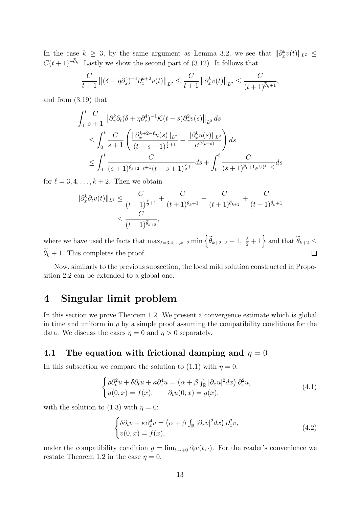In the case  $k \geq 3$ , by the same argument as Lemma 3.2, we see that  $||\partial_x^k v(t)||_{L^2}$  $C(t+1)^{-\tilde{\theta}_k}$ . Lastly we show the second part of (3.12). It follows that

$$
\frac{C}{t+1} ||(\delta + \eta \partial_x^4)^{-1} \partial_x^{k+2} v(t)||_{L^2} \le \frac{C}{t+1} ||\partial_x^k v(t)||_{L^2} \le \frac{C}{(t+1)^{\widetilde{\theta}_k+1}},
$$

and from (3.19) that

$$
\int_{0}^{t} \frac{C}{s+1} \left\| \partial_{x}^{k} \partial_{t} (\delta + \eta \partial_{x}^{4})^{-1} \mathcal{K}(t-s) \partial_{x}^{2} v(s) \right\|_{L^{2}} ds
$$
\n
$$
\leq \int_{0}^{t} \frac{C}{s+1} \left( \frac{\left\| \partial_{x}^{k+2-\ell} u(s) \right\|_{L^{2}}}{(t-s+1)^{\frac{\ell}{2}+1}} + \frac{\left\| \partial_{x}^{k} u(s) \right\|_{L^{2}}}{e^{C(t-s)}} \right) ds
$$
\n
$$
\leq \int_{0}^{t} \frac{C}{(s+1)^{\widetilde{\theta}_{k+2-\ell}+1}(t-s+1)^{\frac{\ell}{2}+1}} ds + \int_{0}^{t} \frac{C}{(s+1)^{\widetilde{\theta}_{k}+1} e^{C(t-s)}} ds
$$

for  $\ell = 3, 4, \ldots, k+2$ . Then we obtain

$$
\|\partial_x^k \partial_t v(t)\|_{L^2} \le \frac{C}{(t+1)^{\frac{k}{2}+1}} + \frac{C}{(t+1)^{\widetilde{\theta}_k+1}} + \frac{C}{(t+1)^{\widetilde{\theta}_{k+2}}} + \frac{C}{(t+1)^{\widetilde{\theta}_k+1}}
$$
  

$$
\le \frac{C}{(t+1)^{\widetilde{\theta}_{k+2}}},
$$

where we have used the facts that  $\max_{\ell=3,4,\dots,k+2} \min \left\{ \widetilde{\theta}_{k+2-\ell} + 1, \frac{\ell}{2} + 1 \right\}$  and that  $\widetilde{\theta}_{k+2} \leq$  $\widetilde{\theta}_k + 1$ . This completes the proof.  $\Box$ 

Now, similarly to the previous subsection, the local mild solution constructed in Proposition 2.2 can be extended to a global one.

## **4 Singular limit problem**

In this section we prove Theorem 1.2. We present a convergence estimate which is global in time and uniform in  $\rho$  by a simple proof assuming the compatibility conditions for the data. We discuss the cases  $\eta = 0$  and  $\eta > 0$  separately.

#### **4.1** The equation with frictional damping and  $\eta = 0$

In this subsection we compare the solution to (1.1) with  $\eta = 0$ ,

$$
\begin{cases}\n\rho \partial_t^2 u + \delta \partial_t u + \kappa \partial_x^4 u = \left(\alpha + \beta \int_{\mathbb{R}} |\partial_x u|^2 dx\right) \partial_x^2 u, \\
u(0, x) = f(x), \qquad \partial_t u(0, x) = g(x),\n\end{cases} \tag{4.1}
$$

with the solution to (1.3) with  $\eta = 0$ :

$$
\begin{cases}\n\delta \partial_t v + \kappa \partial_x^4 v = \left(\alpha + \beta \int_{\mathbb{R}} |\partial_x v|^2 dx\right) \partial_x^2 v, \\
v(0, x) = f(x),\n\end{cases} \tag{4.2}
$$

under the compatibility condition  $g = \lim_{t\to+0} \partial_t v(t,\cdot)$ . For the reader's convenience we restate Theorem 1.2 in the case  $\eta = 0$ .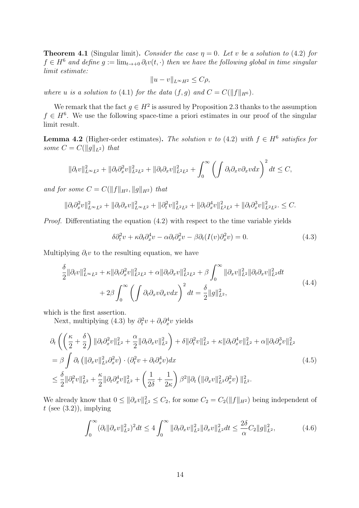**Theorem 4.1** (Singular limit). *Consider the case*  $\eta = 0$ *. Let v be a solution to* (4.2) *for*  $f \in H^6$  *and define*  $g := \lim_{t \to +0} \partial_t v(t, \cdot)$  *then we have the following global in time singular limit estimate:*

$$
||u - v||_{L^{\infty}H^2} \leq C\rho,
$$

*where u is a solution to* (4.1) *for the data*  $(f, g)$  *and*  $C = C(||f||_{H^6})$ *.* 

We remark that the fact  $g \in H^2$  is assured by Proposition 2.3 thanks to the assumption  $f \in H^6$ . We use the following space-time a priori estimates in our proof of the singular limit result.

**Lemma 4.2** (Higher-order estimates). The solution *v* to (4.2) with  $f \in H^6$  satisfies for *some*  $C = C(||g||_{L^2})$  *that* 

$$
\|\partial_t v\|_{L^\infty L^2}^2 + \|\partial_t \partial_x^2 v\|_{L^2 L^2}^2 + \|\partial_t \partial_x v\|_{L^2 L^2}^2 + \int_0^\infty \left(\int \partial_t \partial_x v \partial_x v \partial_x v \partial_x v\right)^2 dt \le C,
$$

*and for some*  $C = C(||f||_{H^2}, ||g||_{H^2})$  *that* 

$$
\|\partial_t \partial_x^2 v\|_{L^\infty L^2}^2 + \|\partial_t \partial_x v\|_{L^\infty L^2}^2 + \|\partial_t^2 v\|_{L^2 L^2}^2 + \|\partial_t \partial_x^4 v\|_{L^2 L^2}^2 + \|\partial_t \partial_x^3 v\|_{L^2 L^2}^2 \leq C.
$$

*Proof.* Differentiating the equation  $(4.2)$  with respect to the time variable yields

$$
\delta \partial_t^2 v + \kappa \partial_t \partial_x^4 v - \alpha \partial_t \partial_x^2 v - \beta \partial_t (I(v) \partial_x^2 v) = 0. \tag{4.3}
$$

Multiplying  $\partial_t v$  to the resulting equation, we have

$$
\frac{\delta}{2} \|\partial_t v\|_{L^\infty L^2}^2 + \kappa \|\partial_t \partial_x^2 v\|_{L^2 L^2}^2 + \alpha \|\partial_t \partial_x v\|_{L^2 L^2}^2 + \beta \int_0^\infty \|\partial_x v\|_{L^2}^2 \|\partial_t \partial_x v\|_{L^2}^2 dt \n+ 2\beta \int_0^\infty \left( \int \partial_t \partial_x v \partial_x v dx \right)^2 dt = \frac{\delta}{2} \|g\|_{L^2}^2,
$$
\n(4.4)

which is the first assertion.

Next, multiplying (4.3) by  $\partial_t^2 v + \partial_t \partial_x^4 v$  yields

$$
\partial_t \left( \left( \frac{\kappa}{2} + \frac{\delta}{2} \right) \| \partial_t \partial_x^2 v \|_{L^2}^2 + \frac{\alpha}{2} \| \partial_t \partial_x v \|_{L^2}^2 \right) + \delta \| \partial_t^2 v \|_{L^2}^2 + \kappa \| \partial_t \partial_x^4 v \|_{L^2}^2 + \alpha \| \partial_t \partial_x^3 v \|_{L^2}^2
$$
\n
$$
= \beta \int \partial_t \left( \| \partial_x v \|_{L^2}^2 \partial_x^2 v \right) \cdot (\partial_t^2 v + \partial_t \partial_x^4 v) dx
$$
\n
$$
\leq \frac{\delta}{2} \| \partial_t^2 v \|_{L^2}^2 + \frac{\kappa}{2} \| \partial_t \partial_x^4 v \|_{L^2}^2 + \left( \frac{1}{2\delta} + \frac{1}{2\kappa} \right) \beta^2 \| \partial_t \left( \| \partial_x v \|_{L^2}^2 \partial_x^2 v \right) \|_{L^2}^2. \tag{4.5}
$$

We already know that  $0 \le ||\partial_x v||_{L^2}^2 \le C_2$ , for some  $C_2 = C_2(||f||_{H^2})$  being independent of  $t$  (see  $(3.2)$ ), implying

$$
\int_0^\infty (\partial_t \|\partial_x v\|_{L^2}^2)^2 dt \le 4 \int_0^\infty \|\partial_t \partial_x v\|_{L^2}^2 \|\partial_x v\|_{L^2}^2 dt \le \frac{2\delta}{\alpha} C_2 \|g\|_{L^2}^2,\tag{4.6}
$$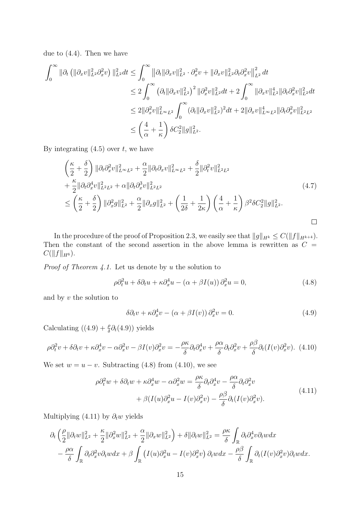due to (4.4). Then we have

$$
\int_0^\infty \|\partial_t \left( \|\partial_x v\|_{L^2}^2 \partial_x^2 v \right) \|_{L^2}^2 dt \le \int_0^\infty \|\partial_t \|\partial_x v\|_{L^2}^2 \cdot \partial_x^2 v + \|\partial_x v\|_{L^2}^2 \partial_t \partial_x^2 v \Big\|_{L^2}^2 dt
$$
  
\n
$$
\le 2 \int_0^\infty \left( \partial_t \|\partial_x v\|_{L^2}^2 \right)^2 \|\partial_x^2 v\|_{L^2}^2 dt + 2 \int_0^\infty \|\partial_x v\|_{L^2}^4 \|\partial_t \partial_x^2 v\|_{L^2}^2 dt
$$
  
\n
$$
\le 2 \|\partial_x^2 v\|_{L^\infty L^2}^2 \int_0^\infty (\partial_t \|\partial_x v\|_{L^2}^2)^2 dt + 2 \|\partial_x v\|_{L^\infty L^2}^4 \|\partial_t \partial_x^2 v\|_{L^2 L^2}^2
$$
  
\n
$$
\le \left( \frac{4}{\alpha} + \frac{1}{\kappa} \right) \delta C_2^2 \|g\|_{L^2}^2.
$$

By integrating (4.5) over *t*, we have

$$
\begin{split}\n&\left(\frac{\kappa}{2} + \frac{\delta}{2}\right) \|\partial_t \partial_x^2 v\|_{L^\infty L^2}^2 + \frac{\alpha}{2} \|\partial_t \partial_x v\|_{L^\infty L^2}^2 + \frac{\delta}{2} \|\partial_t^2 v\|_{L^2 L^2}^2 \\
&+ \frac{\kappa}{2} \|\partial_t \partial_x^4 v\|_{L^2 L^2}^2 + \alpha \|\partial_t \partial_x^3 v\|_{L^2 L^2}^2 \\
&\leq \left(\frac{\kappa}{2} + \frac{\delta}{2}\right) \|\partial_x^2 g\|_{L^2}^2 + \frac{\alpha}{2} \|\partial_x g\|_{L^2}^2 + \left(\frac{1}{2\delta} + \frac{1}{2\kappa}\right) \left(\frac{4}{\alpha} + \frac{1}{\kappa}\right) \beta^2 \delta C_2^2 \|g\|_{L^2}^2.\n\end{split} \tag{4.7}
$$

In the procedure of the proof of Proposition 2.3, we easily see that  $||g||_{H^k} \leq C(||f||_{H^{k+4}})$ . Then the constant of the second assertion in the above lemma is rewritten as  $C =$  $C(||f||_{H^6})$ .

*Proof of Theorem 4.1.* Let us denote by *u* the solution to

$$
\rho \partial_t^2 u + \delta \partial_t u + \kappa \partial_x^4 u - (\alpha + \beta I(u)) \partial_x^2 u = 0, \qquad (4.8)
$$

and by *v* the solution to

$$
\delta \partial_t v + \kappa \partial_x^4 v - (\alpha + \beta I(v)) \partial_x^2 v = 0. \tag{4.9}
$$

Calculating  $((4.9) + \frac{\rho}{\delta} \partial_t (4.9))$  yields

$$
\rho \partial_t^2 v + \delta \partial_t v + \kappa \partial_x^4 v - \alpha \partial_x^2 v - \beta I(v) \partial_x^2 v = -\frac{\rho \kappa}{\delta} \partial_t \partial_x^4 v + \frac{\rho \alpha}{\delta} \partial_t \partial_x^2 v + \frac{\rho \beta}{\delta} \partial_t (I(v) \partial_x^2 v). \tag{4.10}
$$

We set  $w = u - v$ . Subtracting (4.8) from (4.10), we see

$$
\rho \partial_t^2 w + \delta \partial_t w + \kappa \partial_x^4 w - \alpha \partial_x^2 w = \frac{\rho \kappa}{\delta} \partial_t \partial_x^4 v - \frac{\rho \alpha}{\delta} \partial_t \partial_x^2 v + \beta (I(u) \partial_x^2 u - I(v) \partial_x^2 v) - \frac{\rho \beta}{\delta} \partial_t (I(v) \partial_x^2 v).
$$
\n(4.11)

Multiplying  $(4.11)$  by  $\partial_t w$  yields

$$
\partial_t \left( \frac{\rho}{2} \| \partial_t w \|_{L^2}^2 + \frac{\kappa}{2} \| \partial_x^2 w \|_{L^2}^2 + \frac{\alpha}{2} \| \partial_x w \|_{L^2}^2 \right) + \delta \| \partial_t w \|_{L^2}^2 = \frac{\rho \kappa}{\delta} \int_{\mathbb{R}} \partial_t \partial_x^4 v \partial_t w dx \n- \frac{\rho \alpha}{\delta} \int_{\mathbb{R}} \partial_t \partial_x^2 v \partial_t w dx + \beta \int_{\mathbb{R}} \left( I(u) \partial_x^2 u - I(v) \partial_x^2 v \right) \partial_t w dx - \frac{\rho \beta}{\delta} \int_{\mathbb{R}} \partial_t (I(v) \partial_x^2 v) \partial_t w dx.
$$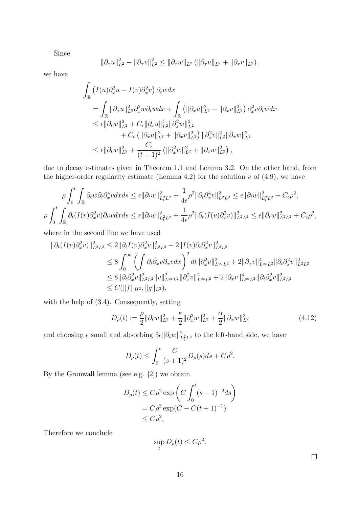Since

$$
\|\partial_x u\|_{L^2}^2 - \|\partial_x v\|_{L^2}^2 \le \|\partial_x w\|_{L^2} (\|\partial_x u\|_{L^2} + \|\partial_x v\|_{L^2}),
$$

we have

$$
\int_{\mathbb{R}} \left( I(u) \partial_x^2 u - I(v) \partial_x^2 v \right) \partial_t w dx \n= \int_{\mathbb{R}} || \partial_x u ||_{L^2}^2 \partial_x^2 w \partial_t w dx + \int_{\mathbb{R}} \left( || \partial_x u ||_{L^2}^2 - || \partial_x v ||_{L^2}^2 \right) \partial_x^2 v \partial_t w dx \n\leq \epsilon || \partial_t w ||_{L^2}^2 + C_{\epsilon} || \partial_x u ||_{L^2}^4 || \partial_x^2 w ||_{L^2}^2 \n+ C_{\epsilon} \left( || \partial_x u ||_{L^2}^2 + || \partial_x v ||_{L^2}^2 \right) || \partial_x^2 v ||_{L^2}^2 || \partial_x w ||_{L^2}^2 \n\leq \epsilon || \partial_t w ||_{L^2}^2 + \frac{C_{\epsilon}}{(t+1)^2} \left( || \partial_x^2 w ||_{L^2}^2 + || \partial_x w ||_{L^2}^2 \right),
$$

due to decay estimates given in Theorem 1.1 and Lemma 3.2. On the other hand, from the higher-order regularity estimate (Lemma 4.2) for the solution  $v$  of  $(4.9)$ , we have

$$
\rho \int_0^t \int_{\mathbb{R}} \partial_t w \partial_t \partial_x^4 v dx ds \leq \epsilon ||\partial_t w||_{L_t^2 L^2}^2 + \frac{1}{4\epsilon} \rho^2 ||\partial_t \partial_x^4 v||_{L^2 L^2}^2 \leq \epsilon ||\partial_t w||_{L_t^2 L^2}^2 + C_{\epsilon} \rho^2,
$$
  

$$
\rho \int_0^t \int_{\mathbb{R}} \partial_t (I(v)\partial_x^2 v)\partial_t w dx ds \leq \epsilon ||\partial_t w||_{L_t^2 L^2}^2 + \frac{1}{4\epsilon} \rho^2 ||\partial_t (I(v)\partial_x^2 v)||_{L^2 L^2}^2 \leq \epsilon ||\partial_t w||_{L^2 L^2}^2 + C_{\epsilon} \rho^2,
$$

where in the second line we have used

$$
\begin{split} \|\partial_t (I(v)\partial_x^2 v)\|_{L^2 L^2}^2 &\le 2 \|\partial_t I(v)\partial_x^2 v\|_{L^2 L^2}^2 + 2\|I(v)\partial_t \partial_x^2 v\|_{L^2 L^2}^2 \\ &\le 8 \int_0^\infty \left( \int \partial_t \partial_x v \partial_x v \, dx \right)^2 dt \|\partial_x^2 v\|_{L^\infty L^2}^2 + 2\|\partial_x v\|_{L^\infty L^2}^4 \|\partial_t \partial_x^2 v\|_{L^2 L^2}^2 \\ &\le 8 \|\partial_t \partial_x^2 v\|_{L^2 L^2}^2 \|v\|_{L^\infty L^2}^2 \|\partial_x^2 v\|_{L^\infty L^2}^2 + 2\|\partial_x v\|_{L^\infty L^2}^4 \|\partial_t \partial_x^2 v\|_{L^2 L^2}^2 \\ &\le C (\|f\|_{H^2}, \|g\|_{L^2}), \end{split}
$$

with the help of (3.4). Consequently, setting

$$
D_{\rho}(t) := \frac{\rho}{2} \|\partial_t w\|_{L^2}^2 + \frac{\kappa}{2} \|\partial_x^2 w\|_{L^2}^2 + \frac{\alpha}{2} \|\partial_x w\|_{L^2}^2 \tag{4.12}
$$

and choosing  $\epsilon$  small and absorbing  $3\epsilon ||\partial_t w||^2_{L^2_tL^2}$  to the left-hand side, we have

$$
D_{\rho}(t) \le \int_0^t \frac{C}{(s+1)^2} D_{\rho}(s) ds + C\rho^2.
$$

By the Gronwall lemma (see e.g. [2]) we obtain

$$
D_{\rho}(t) \leq C\rho^2 \exp\left(C \int_0^t (s+1)^{-2} ds\right)
$$
  
=  $C\rho^2 \exp(C - C(t+1)^{-1})$   
 $\leq C\rho^2$ .

Therefore we conclude

$$
\sup_t D_{\rho}(t) \le C\rho^2.
$$

 $\Box$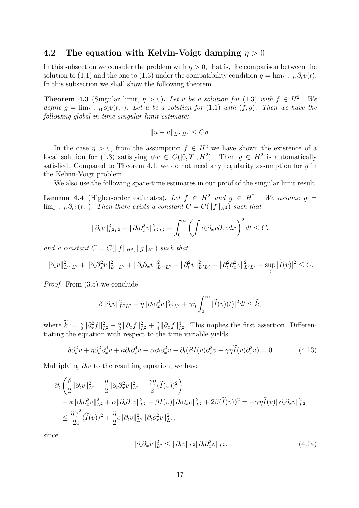#### **4.2 The equation with Kelvin-Voigt damping** *η >* 0

In this subsection we consider the problem with  $\eta > 0$ , that is, the comparison between the solution to (1.1) and the one to (1.3) under the compatibility condition  $g = \lim_{t\to 0} \partial_t v(t)$ . In this subsection we shall show the following theorem.

**Theorem 4.3** (Singular limit,  $\eta > 0$ ). Let *v* be a solution for (1.3) with  $f \in H^2$ . We *define*  $g = \lim_{t \to +0} \partial_t v(t, \cdot)$ *. Let u be a solution for* (1.1) *with* (*f, g*)*. Then we have the following global in time singular limit estimate:*

$$
||u - v||_{L^{\infty}H^2} \leq C\rho.
$$

In the case  $\eta > 0$ , from the assumption  $f \in H^2$  we have shown the existence of a local solution for (1.3) satisfying  $\partial_t v \in C([0,T], H^2)$ . Then  $g \in H^2$  is automatically satisfied. Compared to Theorem 4.1, we do not need any regularity assumption for *g* in the Kelvin-Voigt problem.

We also use the following space-time estimates in our proof of the singular limit result.

**Lemma 4.4** (Higher-order estimates). Let  $f \in H^2$  and  $g \in H^2$ . We assume  $g =$ lim<sub>*t*→+0</sub>  $\partial_t v(t, \cdot)$ . Then there exists a constant  $C = C(||f||_{H^2})$  such that

$$
\|\partial_t v\|_{L^2 L^2}^2 + \|\partial_t \partial_x^2 v\|_{L^2 L^2}^2 + \int_0^\infty \left(\int \partial_t \partial_x v \partial_x v dx\right)^2 dt \le C,
$$

*and a constant*  $C = C(||f||_{H^2}, ||g||_{H^2})$  *such that* 

$$
\|\partial_t v\|_{L^\infty L^2}^2 + \|\partial_t \partial_x^2 v\|_{L^\infty L^2}^2 + \|\partial_t \partial_x v\|_{L^\infty L^2}^2 + \|\partial_t^2 v\|_{L^2 L^2}^2 + \|\partial_t^2 \partial_x^2 v\|_{L^2 L^2}^2 + \sup_t |\widetilde{I}(v)|^2 \le C.
$$

*Proof.* From  $(3.5)$  we conclude

$$
\delta \|\partial_t v\|_{L^2 L^2}^2 + \eta \|\partial_t \partial_x^2 v\|_{L^2 L^2}^2 + \gamma \eta \int_0^\infty |\widetilde{I}(v)(t)|^2 dt \leq \widetilde{k},
$$

where  $\tilde{k} := \frac{\kappa}{2} ||\partial_x^2 f||_{L^2}^2 + \frac{\alpha}{2}$  $\frac{\alpha}{2} \|\partial_x f\|_{L^2}^2 + \frac{\beta}{4}$  $\frac{\beta}{4}$  || $\partial_x f$ ||<sup>4</sup><sub>L</sub>2. This implies the first assertion. Differentiating the equation with respect to the time variable yields

$$
\delta \partial_t^2 v + \eta \partial_t^2 \partial_x^4 v + \kappa \partial_t \partial_x^4 v - \alpha \partial_t \partial_x^2 v - \partial_t (\beta I(v) \partial_x^2 v + \gamma \eta \widetilde{I}(v) \partial_x^2 v) = 0. \tag{4.13}
$$

Multiplying  $\partial_t v$  to the resulting equation, we have

$$
\partial_t \left( \frac{\delta}{2} \|\partial_t v\|_{L^2}^2 + \frac{\eta}{2} \|\partial_t \partial_x^2 v\|_{L^2}^2 + \frac{\gamma \eta}{2} (\tilde{I}(v))^2 \right) \n+ \kappa \|\partial_t \partial_x^2 v\|_{L^2}^2 + \alpha \|\partial_t \partial_x v\|_{L^2}^2 + \beta I(v) \|\partial_t \partial_x v\|_{L^2}^2 + 2\beta (\tilde{I}(v))^2 = -\gamma \eta \tilde{I}(v) \|\partial_t \partial_x v\|_{L^2}^2 \n\leq \frac{\eta \gamma^2}{2\epsilon} (\tilde{I}(v))^2 + \frac{\eta}{2} \epsilon \|\partial_t v\|_{L^2}^2 \|\partial_t \partial_x^2 v\|_{L^2}^2,
$$

since

$$
\|\partial_t \partial_x v\|_{L^2}^2 \le \|\partial_t v\|_{L^2} \|\partial_t \partial_x^2 v\|_{L^2}.
$$
\n(4.14)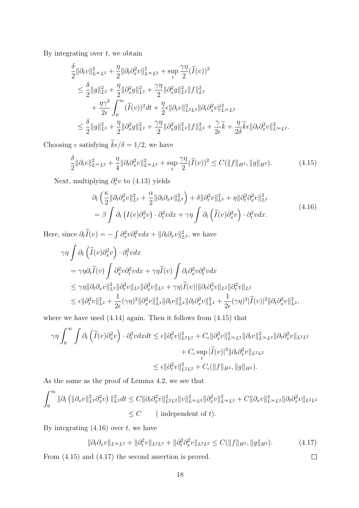By integrating over *t*, we obtain

*δ*

$$
\begin{split} &\frac{\delta}{2} \|\partial_t v\|_{L^\infty L^2}^2 + \frac{\eta}{2} \|\partial_t \partial_x^2 v\|_{L^\infty L^2}^2 + \sup_t \frac{\gamma \eta}{2} (\widetilde{I}(v))^2 \\ &\leq \frac{\delta}{2} \|g\|_{L^2}^2 + \frac{\eta}{2} \|\partial_x^2 g\|_{L^2}^2 + \frac{\gamma \eta}{2} \|\partial_x^2 g\|_{L^2}^2 \|f\|_{L^2}^2 \\ &\quad + \frac{\eta \gamma^2}{2\epsilon} \int_0^\infty (\widetilde{I}(v))^2 dt + \frac{\eta}{2} \epsilon \|\partial_t v\|_{L^2 L^2}^2 \|\partial_t \partial_x^2 v\|_{L^\infty L^2}^2 \\ &\leq \frac{\delta}{2} \|g\|_{L^2}^2 + \frac{\eta}{2} \|\partial_x^2 g\|_{L^2}^2 + \frac{\gamma \eta}{2} \|\partial_x^2 g\|_{L^2}^2 \|f\|_{L^2}^2 + \frac{\gamma}{2\epsilon} \widetilde{k} + \frac{\eta}{2\delta} \widetilde{k} \epsilon \|\partial_t \partial_x^2 v\|_{L^\infty L^2}^2. \end{split}
$$

Choosing  $\epsilon$  satisfying  $\widetilde{k}\epsilon/\delta = 1/2$ , we have

$$
\frac{\delta}{2} \|\partial_t v\|_{L^\infty L^2}^2 + \frac{\eta}{4} \|\partial_t \partial_x^2 v\|_{L^\infty L^2}^2 + \sup_t \frac{\gamma \eta}{2} (\widetilde{I}(v))^2 \le C(\|f\|_{H^2}, \|g\|_{H^2}).\tag{4.15}
$$

Next, multiplying  $\partial_t^2 v$  to (4.13) yields

$$
\partial_t \left( \frac{\kappa}{2} \| \partial_t \partial_x^2 v \|_{L^2}^2 + \frac{\alpha}{2} \| \partial_t \partial_x v \|_{L^2}^2 \right) + \delta \| \partial_t^2 v \|_{L^2}^2 + \eta \| \partial_t^2 \partial_x^2 v \|_{L^2}^2 \n= \beta \int \partial_t \left( I(v) \partial_x^2 v \right) \cdot \partial_t^2 v dx + \gamma \eta \int \partial_t \left( \widetilde{I}(v) \partial_x^2 v \right) \cdot \partial_t^2 v dx.
$$
\n(4.16)

Here, since  $\partial_t \tilde{I}(v) = -\int \partial_x^2 v \partial_t^2 v dx + ||\partial_t \partial_x v||_{L^2}^2$ , we have

$$
\gamma \eta \int \partial_t \left( \tilde{I}(v) \partial_x^2 v \right) \cdot \partial_t^2 v dx
$$
  
\n
$$
= \gamma \eta \partial_t \tilde{I}(v) \int \partial_x^2 v \partial_t^2 v dx + \gamma \eta \tilde{I}(v) \int \partial_t \partial_x^2 v \partial_t^2 v dx
$$
  
\n
$$
\leq \gamma \eta \|\partial_t \partial_x v\|_{L^2}^2 \|\partial_t^2 v\|_{L^2} \|\partial_x^2 v\|_{L^2} + \gamma \eta \|\tilde{I}(v)\| \|\partial_t \partial_x^2 v\|_{L^2} \|\partial_t^2 v\|_{L^2}
$$
  
\n
$$
\leq \epsilon \|\partial_t^2 v\|_{L^2}^2 + \frac{1}{2\epsilon} (\gamma \eta)^2 \|\partial_x^2 v\|_{L^2}^2 \|\partial_t v\|_{L^2}^2 \|\partial_t \partial_x^2 v\|_{L^2}^2 + \frac{1}{2\epsilon} (\gamma \eta)^2 \|\tilde{I}(v)\|^2 \|\partial_t \partial_x^2 v\|_{L^2}^2, \end{math>
$$

where we have used  $(4.14)$  again. Then it follows from  $(4.15)$  that

$$
\gamma \eta \int_0^\infty \int \partial_t \left( \widetilde{I}(v) \partial_x^2 v \right) \cdot \partial_t^2 v dx dt \leq \epsilon \| \partial_t^2 v \|_{L^2 L^2}^2 + C_{\epsilon} \| \partial_x^2 v \|_{L^\infty L^2}^2 \| \partial_t v \|_{L^\infty L^2}^2 \| \partial_t \partial_x^2 v \|_{L^2 L^2} + C_{\epsilon} \sup_t | \widetilde{I}(v)|^2 \| \partial_t \partial_x^2 v \|_{L^2 L^2} \leq \epsilon \| \partial_t^2 v \|_{L^2 L^2}^2 + C_{\epsilon} (\|f\|_{H^2}, \|g\|_{H^2}).
$$

As the same as the proof of Lemma 4.2, we see that

$$
\int_0^\infty \|\partial_t \left( \|\partial_x v\|_{L^2}^2 \partial_x^2 v \right) \|_{L^2}^2 dt \le C \|\partial_t \partial_x^2 v\|_{L^2 L^2}^2 \|v\|_{L^\infty L^2}^2 \|\partial_x^2 v\|_{L^\infty L^2}^2 + C \|\partial_x v\|_{L^\infty L^2}^4 \|\partial_t \partial_x^2 v\|_{L^2 L^2}
$$
  

$$
\le C \qquad \text{( independent of } t\text{).}
$$

By integrating (4.16) over *t*, we have

$$
\|\partial_t \partial_x v\|_{L^\infty L^2} + \|\partial_t^2 v\|_{L^2 L^2} + \|\partial_t^2 \partial_x^2 v\|_{L^2 L^2} \le C(\|f\|_{H^2}, \|g\|_{H^2}).\tag{4.17}
$$

 $\Box$ 

From (4.15) and (4.17) the second assertion is proved.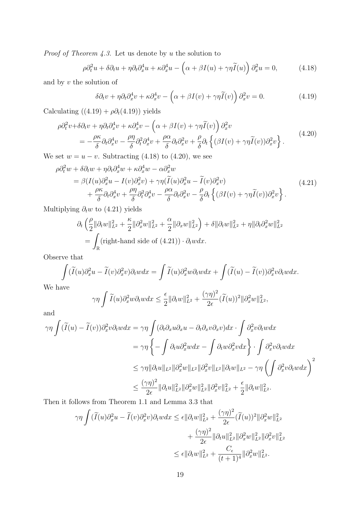*Proof of Theorem 4.3.* Let us denote by *u* the solution to

$$
\rho \partial_t^2 u + \delta \partial_t u + \eta \partial_t \partial_x^4 u + \kappa \partial_x^4 u - \left( \alpha + \beta I(u) + \gamma \eta \tilde{I}(u) \right) \partial_x^2 u = 0, \tag{4.18}
$$

and by *v* the solution of

$$
\delta \partial_t v + \eta \partial_t \partial_x^4 v + \kappa \partial_x^4 v - \left( \alpha + \beta I(v) + \gamma \eta \tilde{I}(v) \right) \partial_x^2 v = 0. \tag{4.19}
$$

Calculating  $((4.19) + \rho \partial_t (4.19))$  yields

$$
\rho \partial_t^2 v + \delta \partial_t v + \eta \partial_t \partial_x^4 v + \kappa \partial_x^4 v - \left( \alpha + \beta I(v) + \gamma \eta \widetilde{I}(v) \right) \partial_x^2 v \n= -\frac{\rho \kappa}{\delta} \partial_t \partial_x^4 v - \frac{\rho \eta}{\delta} \partial_t^2 \partial_x^4 v + \frac{\rho \alpha}{\delta} \partial_t \partial_x^2 v + \frac{\rho}{\delta} \partial_t \left\{ (\beta I(v) + \gamma \eta \widetilde{I}(v)) \partial_x^2 v \right\}.
$$
\n(4.20)

We set  $w = u - v$ . Subtracting (4.18) to (4.20), we see

$$
\rho \partial_t^2 w + \delta \partial_t w + \eta \partial_t \partial_x^4 w + \kappa \partial_x^4 w - \alpha \partial_x^2 w \n= \beta (I(u)\partial_x^2 u - I(v)\partial_x^2 v) + \gamma \eta (\widetilde{I}(u)\partial_x^2 u - \widetilde{I}(v)\partial_x^2 v) \n+ \frac{\rho \kappa}{\delta} \partial_t \partial_x^4 v + \frac{\rho \eta}{\delta} \partial_t^2 \partial_x^4 v - \frac{\rho \alpha}{\delta} \partial_t \partial_x^2 v - \frac{\rho}{\delta} \partial_t \left\{ (\beta I(v) + \gamma \eta \widetilde{I}(v)) \partial_x^2 v \right\}.
$$
\n(4.21)

Multiplying *∂tw* to (4.21) yields

$$
\partial_t \left( \frac{\rho}{2} \|\partial_t w\|_{L^2}^2 + \frac{\kappa}{2} \|\partial_x^2 w\|_{L^2}^2 + \frac{\alpha}{2} \|\partial_x w\|_{L^2}^2 \right) + \delta \|\partial_t w\|_{L^2}^2 + \eta \|\partial_t \partial_x^2 w\|_{L^2}^2
$$
  
= 
$$
\int_{\mathbb{R}} (\text{right-hand side of (4.21))} \cdot \partial_t w dx.
$$

Observe that

$$
\int (\widetilde{I}(u)\partial_x^2 u - \widetilde{I}(v)\partial_x^2 v)\partial_t w dx = \int \widetilde{I}(u)\partial_x^2 w \partial_t w dx + \int (\widetilde{I}(u) - \widetilde{I}(v))\partial_x^2 v \partial_t w dx.
$$

We have

$$
\gamma \eta \int \widetilde{I}(u) \partial_x^2 w \partial_t w dx \leq \frac{\epsilon}{2} ||\partial_t w||_{L^2}^2 + \frac{(\gamma \eta)^2}{2\epsilon} (\widetilde{I}(u))^2 ||\partial_x^2 w||_{L^2}^2,
$$

and

$$
\gamma \eta \int (\widetilde{I}(u) - \widetilde{I}(v)) \partial_x^2 v \partial_t w dx = \gamma \eta \int (\partial_t \partial_x u \partial_x u - \partial_t \partial_x v \partial_x v) dx \cdot \int \partial_x^2 v \partial_t w dx
$$
  

$$
= \gamma \eta \left\{ - \int \partial_t u \partial_x^2 w dx - \int \partial_t w \partial_x^2 v dx \right\} \cdot \int \partial_x^2 v \partial_t w dx
$$
  

$$
\leq \gamma \eta \|\partial_t u\|_{L^2} \|\partial_x^2 w\|_{L^2} \|\partial_x^2 v\|_{L^2} \|\partial_t w\|_{L^2} - \gamma \eta \left( \int \partial_x^2 v \partial_t w dx \right)^2
$$
  

$$
\leq \frac{(\gamma \eta)^2}{2\epsilon} \|\partial_t u\|_{L^2}^2 \|\partial_x^2 w\|_{L^2}^2 \|\partial_x^2 v\|_{L^2}^2 + \frac{\epsilon}{2} \|\partial_t w\|_{L^2}^2.
$$

Then it follows from Theorem 1.1 and Lemma 3.3 that

$$
\gamma \eta \int (\widetilde{I}(u)\partial_x^2 u - \widetilde{I}(v)\partial_x^2 v)\partial_t w dx \leq \epsilon ||\partial_t w||_{L^2}^2 + \frac{(\gamma \eta)^2}{2\epsilon} (\widetilde{I}(u))^2 ||\partial_x^2 w||_{L^2}^2
$$
  

$$
+ \frac{(\gamma \eta)^2}{2\epsilon} ||\partial_t u||_{L^2}^2 ||\partial_x^2 w||_{L^2}^2 ||\partial_x^2 v||_{L^2}^2
$$
  

$$
\leq \epsilon ||\partial_t w||_{L^2}^2 + \frac{C_{\epsilon}}{(t+1)^4} ||\partial_x^2 w||_{L^2}^2.
$$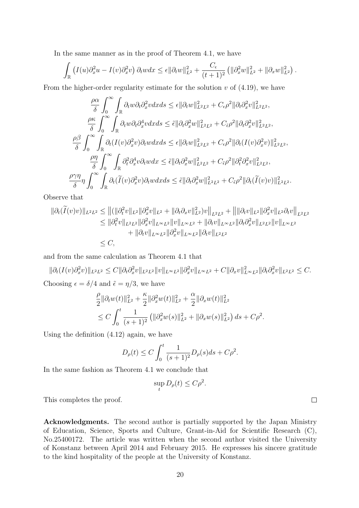In the same manner as in the proof of Theorem 4.1, we have

$$
\int_{\mathbb{R}} \left( I(u) \partial_x^2 u - I(v) \partial_x^2 v \right) \partial_t w dx \leq \epsilon ||\partial_t w||_{L^2}^2 + \frac{C_{\epsilon}}{(t+1)^2} \left( ||\partial_x^2 w||_{L^2}^2 + ||\partial_x w||_{L^2}^2 \right).
$$

From the higher-order regularity estimate for the solution *v* of (4.19), we have

$$
\frac{\rho\alpha}{\delta} \int_0^\infty \int_{\mathbb{R}} \partial_t w \partial_t \partial_x^2 v dx ds \leq \epsilon ||\partial_t w||_{L^2 L^2}^2 + C_{\epsilon} \rho^2 ||\partial_t \partial_x^2 v||_{L^2 L^2}^2,
$$
\n
$$
\frac{\rho\kappa}{\delta} \int_0^\infty \int_{\mathbb{R}} \partial_t w \partial_t \partial_x^4 v dx ds \leq \tilde{\epsilon} ||\partial_t \partial_x^2 w||_{L^2 L^2}^2 + C_{\tilde{\epsilon}} \rho^2 ||\partial_t \partial_x^2 v||_{L^2 L^2}^2,
$$
\n
$$
\frac{\rho\beta}{\delta} \int_0^\infty \int_{\mathbb{R}} \partial_t (I(v)\partial_x^2 v)\partial_t w dx ds \leq \epsilon ||\partial_t w||_{L^2 L^2}^2 + C_{\epsilon} \rho^2 ||\partial_t (I(v)\partial_x^2 v)||_{L^2 L^2}^2,
$$
\n
$$
\frac{\rho\eta}{\delta} \int_0^\infty \int_{\mathbb{R}} \partial_t^2 \partial_x^4 v \partial_t w dx \leq \tilde{\epsilon} ||\partial_t \partial_x^2 w||_{L^2 L^2}^2 + C_{\tilde{\epsilon}} \rho^2 ||\partial_t^2 \partial_x^2 v||_{L^2 L^2}^2,
$$
\n
$$
\frac{\rho\gamma\eta}{\delta} \eta \int_0^\infty \int_{\mathbb{R}} \partial_t (\tilde{I}(v)\partial_x^2 v)\partial_t w dx ds \leq \tilde{\epsilon} ||\partial_t \partial_x^2 w||_{L^2 L^2}^2 + C_{\tilde{\epsilon}} \rho^2 ||\partial_t (\tilde{I}(v)v)||_{L^2 L^2}^2.
$$

Observe that

$$
\begin{split} \|\partial_t (\widetilde{I}(v)v)\|_{L^2 L^2} &\leq \left\| (\|\partial_t^2 v\|_{L^2} \|\partial_x^2 v\|_{L^2} + \|\partial_t \partial_x v\|_{L^2}^2) v \right\|_{L^2 L^2} + \left\| \|\partial_t v\|_{L^2} \|\partial_x^2 v\|_{L^2} \partial_t v \right\|_{L^2 L^2} \\ &\leq \|\partial_t^2 v\|_{L^2 L^2} \|\partial_x^2 v\|_{L^\infty L^2} \|v\|_{L^\infty L^2} + \|\partial_t v\|_{L^\infty L^2} \|\partial_t \partial_x^2 v\|_{L^2 L^2} \|v\|_{L^\infty L^2} \\ &\quad + \|\partial_t v\|_{L^\infty L^2} \|\partial_x^2 v\|_{L^\infty L^2} \|\partial_t v\|_{L^2 L^2} \\ &\leq C, \end{split}
$$

and from the same calculation as Theorem 4.1 that

 $\|\partial_t(I(v)\partial_x^2v)\|_{L^2L^2}\leq C\|\partial_t\partial_x^2v\|_{L^2L^2}\|v\|_{L^\infty L^2}\|\partial_x^2v\|_{L^\infty L^2}+C\|\partial_xv\|_{L^\infty L^2}^2\|\partial_t\partial_x^2v\|_{L^2L^2}\leq C.$ Choosing  $\epsilon = \delta/4$  and  $\tilde{\epsilon} = \eta/3$ , we have

$$
\frac{\rho}{2} \|\partial_t w(t)\|_{L^2}^2 + \frac{\kappa}{2} \|\partial_x^2 w(t)\|_{L^2}^2 + \frac{\alpha}{2} \|\partial_x w(t)\|_{L^2}^2
$$
  
\n
$$
\leq C \int_0^t \frac{1}{(s+1)^2} \left( \|\partial_x^2 w(s)\|_{L^2}^2 + \|\partial_x w(s)\|_{L^2}^2 \right) ds + C\rho^2.
$$

Using the definition (4.12) again, we have

$$
D_{\rho}(t) \le C \int_0^t \frac{1}{(s+1)^2} D_{\rho}(s) ds + C \rho^2.
$$

In the same fashion as Theorem 4.1 we conclude that

$$
\sup_t D_{\rho}(t) \le C\rho^2.
$$

This completes the proof.

**Acknowledgments.** The second author is partially supported by the Japan Ministry of Education, Science, Sports and Culture, Grant-in-Aid for Scientific Research (C), No.25400172. The article was written when the second author visited the University of Konstanz between April 2014 and February 2015. He expresses his sincere gratitude to the kind hospitality of the people at the University of Konstanz.

 $\Box$